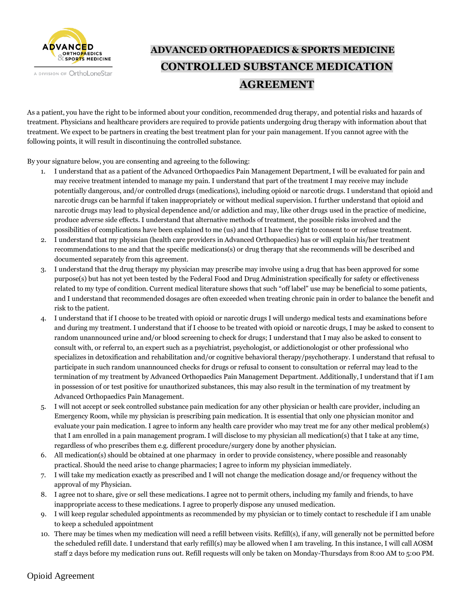

## **ADVANCED ORTHOPAEDICS & SPORTS MEDICINE CONTROLLED SUBSTANCE MEDICATION AGREEMENT**

As a patient, you have the right to be informed about your condition, recommended drug therapy, and potential risks and hazards of treatment. Physicians and healthcare providers are required to provide patients undergoing drug therapy with information about that treatment. We expect to be partners in creating the best treatment plan for your pain management. If you cannot agree with the following points, it will result in discontinuing the controlled substance.

By your signature below, you are consenting and agreeing to the following:

- 1. I understand that as a patient of the Advanced Orthopaedics Pain Management Department, I will be evaluated for pain and may receive treatment intended to manage my pain. I understand that part of the treatment I may receive may include potentially dangerous, and/or controlled drugs (medications), including opioid or narcotic drugs. I understand that opioid and narcotic drugs can be harmful if taken inappropriately or without medical supervision. I further understand that opioid and narcotic drugs may lead to physical dependence and/or addiction and may, like other drugs used in the practice of medicine, produce adverse side effects. I understand that alternative methods of treatment, the possible risks involved and the possibilities of complications have been explained to me (us) and that I have the right to consent to or refuse treatment.
- 2. I understand that my physician (health care providers in Advanced Orthopaedics) has or will explain his/her treatment recommendations to me and that the specific medications(s) or drug therapy that she recommends will be described and documented separately from this agreement.
- 3. I understand that the drug therapy my physician may prescribe may involve using a drug that has been approved for some purpose(s) but has not yet been tested by the Federal Food and Drug Administration specifically for safety or effectiveness related to my type of condition. Current medical literature shows that such "off label" use may be beneficial to some patients, and I understand that recommended dosages are often exceeded when treating chronic pain in order to balance the benefit and risk to the patient.
- 4. I understand that if I choose to be treated with opioid or narcotic drugs I will undergo medical tests and examinations before and during my treatment. I understand that if I choose to be treated with opioid or narcotic drugs, I may be asked to consent to random unannounced urine and/or blood screening to check for drugs; I understand that I may also be asked to consent to consult with, or referral to, an expert such as a psychiatrist, psychologist, or addictionologist or other professional who specializes in detoxification and rehabilitation and/or cognitive behavioral therapy/psychotherapy. I understand that refusal to participate in such random unannounced checks for drugs or refusal to consent to consultation or referral may lead to the termination of my treatment by Advanced Orthopaedics Pain Management Department. Additionally, I understand that if I am in possession of or test positive for unauthorized substances, this may also result in the termination of my treatment by Advanced Orthopaedics Pain Management.
- 5. I will not accept or seek controlled substance pain medication for any other physician or health care provider, including an Emergency Room, while my physician is prescribing pain medication. It is essential that only one physician monitor and evaluate your pain medication. I agree to inform any health care provider who may treat me for any other medical problem(s) that I am enrolled in a pain management program. I will disclose to my physician all medication(s) that I take at any time, regardless of who prescribes them e.g. different procedure/surgery done by another physician.
- 6. All medication(s) should be obtained at one pharmacy in order to provide consistency, where possible and reasonably practical. Should the need arise to change pharmacies; I agree to inform my physician immediately.
- 7. I will take my medication exactly as prescribed and I will not change the medication dosage and/or frequency without the approval of my Physician.
- 8. I agree not to share, give or sell these medications. I agree not to permit others, including my family and friends, to have inappropriate access to these medications. I agree to properly dispose any unused medication.
- 9. I will keep regular scheduled appointments as recommended by my physician or to timely contact to reschedule if I am unable to keep a scheduled appointment
- 10. There may be times when my medication will need a refill between visits. Refill(s), if any, will generally not be permitted before the scheduled refill date. I understand that early refill(s) may be allowed when I am traveling. In this instance, I will call AOSM staff 2 days before my medication runs out. Refill requests will only be taken on Monday-Thursdays from 8:00 AM to 5:00 PM.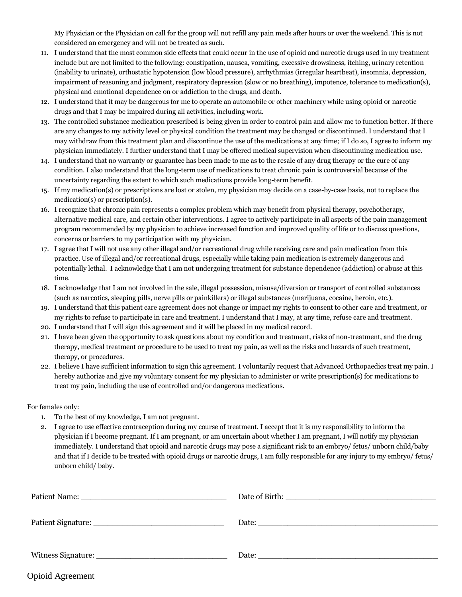My Physician or the Physician on call for the group will not refill any pain meds after hours or over the weekend. This is not considered an emergency and will not be treated as such.

- 11. I understand that the most common side effects that could occur in the use of opioid and narcotic drugs used in my treatment include but are not limited to the following: constipation, nausea, vomiting, excessive drowsiness, itching, urinary retention (inability to urinate), orthostatic hypotension (low blood pressure), arrhythmias (irregular heartbeat), insomnia, depression, impairment of reasoning and judgment, respiratory depression (slow or no breathing), impotence, tolerance to medication(s), physical and emotional dependence on or addiction to the drugs, and death.
- 12. I understand that it may be dangerous for me to operate an automobile or other machinery while using opioid or narcotic drugs and that I may be impaired during all activities, including work.
- 13. The controlled substance medication prescribed is being given in order to control pain and allow me to function better. If there are any changes to my activity level or physical condition the treatment may be changed or discontinued. I understand that I may withdraw from this treatment plan and discontinue the use of the medications at any time; if I do so, I agree to inform my physician immediately. I further understand that I may be offered medical supervision when discontinuing medication use.
- 14. I understand that no warranty or guarantee has been made to me as to the resale of any drug therapy or the cure of any condition. I also understand that the long-term use of medications to treat chronic pain is controversial because of the uncertainty regarding the extent to which such medications provide long-term benefit.
- 15. If my medication(s) or prescriptions are lost or stolen, my physician may decide on a case-by-case basis, not to replace the medication(s) or prescription(s).
- 16. I recognize that chronic pain represents a complex problem which may benefit from physical therapy, psychotherapy, alternative medical care, and certain other interventions. I agree to actively participate in all aspects of the pain management program recommended by my physician to achieve increased function and improved quality of life or to discuss questions, concerns or barriers to my participation with my physician.
- 17. I agree that I will not use any other illegal and/or recreational drug while receiving care and pain medication from this practice. Use of illegal and/or recreational drugs, especially while taking pain medication is extremely dangerous and potentially lethal. I acknowledge that I am not undergoing treatment for substance dependence (addiction) or abuse at this time.
- 18. I acknowledge that I am not involved in the sale, illegal possession, misuse/diversion or transport of controlled substances (such as narcotics, sleeping pills, nerve pills or painkillers) or illegal substances (marijuana, cocaine, heroin, etc.).
- 19. I understand that this patient care agreement does not change or impact my rights to consent to other care and treatment, or my rights to refuse to participate in care and treatment. I understand that I may, at any time, refuse care and treatment.
- 20. I understand that I will sign this agreement and it will be placed in my medical record.
- 21. I have been given the opportunity to ask questions about my condition and treatment, risks of non-treatment, and the drug therapy, medical treatment or procedure to be used to treat my pain, as well as the risks and hazards of such treatment, therapy, or procedures.
- 22. I believe I have sufficient information to sign this agreement. I voluntarily request that Advanced Orthopaedics treat my pain. I hereby authorize and give my voluntary consent for my physician to administer or write prescription(s) for medications to treat my pain, including the use of controlled and/or dangerous medications.

For females only:

- 1. To the best of my knowledge, I am not pregnant.
- 2. I agree to use effective contraception during my course of treatment. I accept that it is my responsibility to inform the physician if I become pregnant. If I am pregnant, or am uncertain about whether I am pregnant, I will notify my physician immediately. I understand that opioid and narcotic drugs may pose a significant risk to an embryo/ fetus/ unborn child/baby and that if I decide to be treated with opioid drugs or narcotic drugs, I am fully responsible for any injury to my embryo/ fetus/ unborn child/ baby.

| <b>Opioid Agreement</b> |  |
|-------------------------|--|